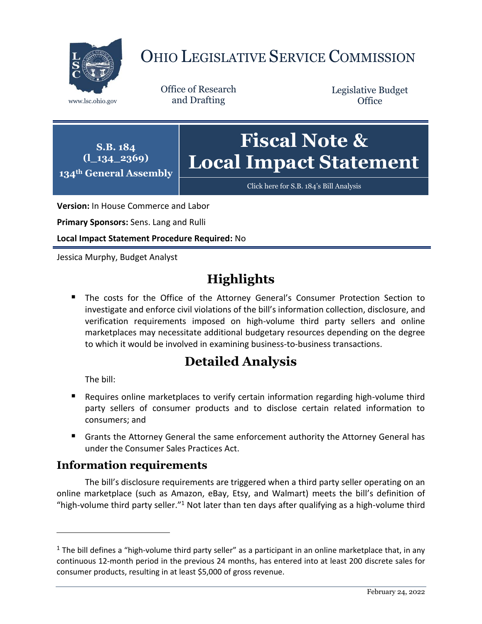

# OHIO LEGISLATIVE SERVICE COMMISSION

www.lsc.ohio.gov and Drafting

Office of Research

Legislative Budget **Office** 



[Click here for S.B. 184](https://www.legislature.ohio.gov/legislation/legislation-documents?id=GA134-SB-184)'s Bill Analysis

**Version:** In House Commerce and Labor

**Primary Sponsors:** Sens. Lang and Rulli

**Local Impact Statement Procedure Required:** No

Jessica Murphy, Budget Analyst

## **Highlights**

 The costs for the Office of the Attorney General's Consumer Protection Section to investigate and enforce civil violations of the bill's information collection, disclosure, and verification requirements imposed on high-volume third party sellers and online marketplaces may necessitate additional budgetary resources depending on the degree to which it would be involved in examining business-to-business transactions.

## **Detailed Analysis**

The bill:

 $\overline{a}$ 

- Requires online marketplaces to verify certain information regarding high-volume third party sellers of consumer products and to disclose certain related information to consumers; and
- Grants the Attorney General the same enforcement authority the Attorney General has under the Consumer Sales Practices Act.

### **Information requirements**

The bill's disclosure requirements are triggered when a third party seller operating on an online marketplace (such as Amazon, eBay, Etsy, and Walmart) meets the bill's definition of "high-volume third party seller."<sup>1</sup> Not later than ten days after qualifying as a high-volume third

 $1$  The bill defines a "high-volume third party seller" as a participant in an online marketplace that, in any continuous 12-month period in the previous 24 months, has entered into at least 200 discrete sales for consumer products, resulting in at least \$5,000 of gross revenue.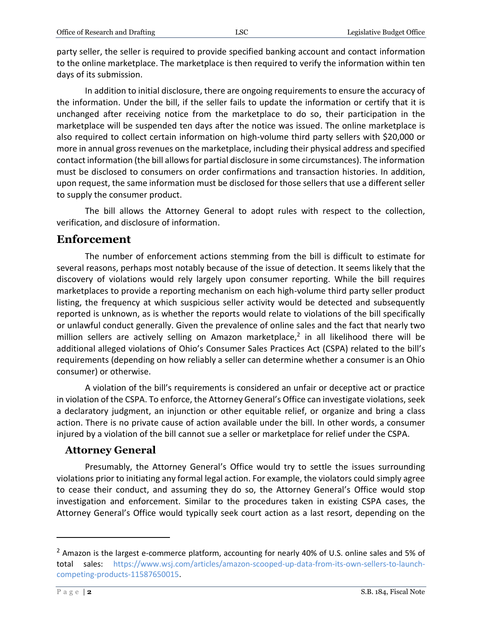party seller, the seller is required to provide specified banking account and contact information to the online marketplace. The marketplace is then required to verify the information within ten days of its submission.

In addition to initial disclosure, there are ongoing requirements to ensure the accuracy of the information. Under the bill, if the seller fails to update the information or certify that it is unchanged after receiving notice from the marketplace to do so, their participation in the marketplace will be suspended ten days after the notice was issued. The online marketplace is also required to collect certain information on high-volume third party sellers with \$20,000 or more in annual gross revenues on the marketplace, including their physical address and specified contact information (the bill allows for partial disclosure in some circumstances). The information must be disclosed to consumers on order confirmations and transaction histories. In addition, upon request, the same information must be disclosed for those sellers that use a different seller to supply the consumer product.

The bill allows the Attorney General to adopt rules with respect to the collection, verification, and disclosure of information.

#### **Enforcement**

The number of enforcement actions stemming from the bill is difficult to estimate for several reasons, perhaps most notably because of the issue of detection. It seems likely that the discovery of violations would rely largely upon consumer reporting. While the bill requires marketplaces to provide a reporting mechanism on each high-volume third party seller product listing, the frequency at which suspicious seller activity would be detected and subsequently reported is unknown, as is whether the reports would relate to violations of the bill specifically or unlawful conduct generally. Given the prevalence of online sales and the fact that nearly two million sellers are actively selling on Amazon marketplace,<sup>2</sup> in all likelihood there will be additional alleged violations of Ohio's Consumer Sales Practices Act (CSPA) related to the bill's requirements (depending on how reliably a seller can determine whether a consumer is an Ohio consumer) or otherwise.

A violation of the bill's requirements is considered an unfair or deceptive act or practice in violation of the CSPA. To enforce, the Attorney General's Office can investigate violations, seek a declaratory judgment, an injunction or other equitable relief, or organize and bring a class action. There is no private cause of action available under the bill. In other words, a consumer injured by a violation of the bill cannot sue a seller or marketplace for relief under the CSPA.

#### **Attorney General**

Presumably, the Attorney General's Office would try to settle the issues surrounding violations prior to initiating any formal legal action. For example, the violators could simply agree to cease their conduct, and assuming they do so, the Attorney General's Office would stop investigation and enforcement. Similar to the procedures taken in existing CSPA cases, the Attorney General's Office would typically seek court action as a last resort, depending on the

 $\overline{a}$ 

<sup>&</sup>lt;sup>2</sup> Amazon is the largest e-commerce platform, accounting for nearly 40% of U.S. online sales and 5% of total sales: [https://www.wsj.com/articles/amazon-scooped-up-data-from-its-own-sellers-to-launch](https://www.wsj.com/articles/amazon-scooped-up-data-from-its-own-sellers-to-launch-competing-products-11587650015)[competing-products-11587650015.](https://www.wsj.com/articles/amazon-scooped-up-data-from-its-own-sellers-to-launch-competing-products-11587650015)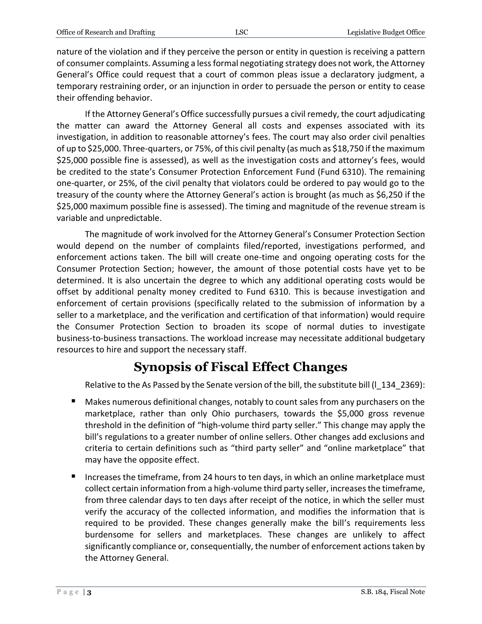nature of the violation and if they perceive the person or entity in question is receiving a pattern of consumer complaints. Assuming a less formal negotiating strategy does not work, the Attorney General's Office could request that a court of common pleas issue a declaratory judgment, a temporary restraining order, or an injunction in order to persuade the person or entity to cease their offending behavior.

If the Attorney General's Office successfully pursues a civil remedy, the court adjudicating the matter can award the Attorney General all costs and expenses associated with its investigation, in addition to reasonable attorney's fees. The court may also order civil penalties of up to \$25,000. Three-quarters, or 75%, of this civil penalty (as much as \$18,750 if the maximum \$25,000 possible fine is assessed), as well as the investigation costs and attorney's fees, would be credited to the state's Consumer Protection Enforcement Fund (Fund 6310). The remaining one-quarter, or 25%, of the civil penalty that violators could be ordered to pay would go to the treasury of the county where the Attorney General's action is brought (as much as \$6,250 if the \$25,000 maximum possible fine is assessed). The timing and magnitude of the revenue stream is variable and unpredictable.

The magnitude of work involved for the Attorney General's Consumer Protection Section would depend on the number of complaints filed/reported, investigations performed, and enforcement actions taken. The bill will create one-time and ongoing operating costs for the Consumer Protection Section; however, the amount of those potential costs have yet to be determined. It is also uncertain the degree to which any additional operating costs would be offset by additional penalty money credited to Fund 6310. This is because investigation and enforcement of certain provisions (specifically related to the submission of information by a seller to a marketplace, and the verification and certification of that information) would require the Consumer Protection Section to broaden its scope of normal duties to investigate business-to-business transactions. The workload increase may necessitate additional budgetary resources to hire and support the necessary staff.

## **Synopsis of Fiscal Effect Changes**

Relative to the As Passed by the Senate version of the bill, the substitute bill (I\_134\_2369):

- Makes numerous definitional changes, notably to count sales from any purchasers on the marketplace, rather than only Ohio purchasers, towards the \$5,000 gross revenue threshold in the definition of "high-volume third party seller." This change may apply the bill's regulations to a greater number of online sellers. Other changes add exclusions and criteria to certain definitions such as "third party seller" and "online marketplace" that may have the opposite effect.
- Increases the timeframe, from 24 hours to ten days, in which an online marketplace must collect certain information from a high-volume third party seller, increases the timeframe, from three calendar days to ten days after receipt of the notice, in which the seller must verify the accuracy of the collected information, and modifies the information that is required to be provided. These changes generally make the bill's requirements less burdensome for sellers and marketplaces. These changes are unlikely to affect significantly compliance or, consequentially, the number of enforcement actions taken by the Attorney General.